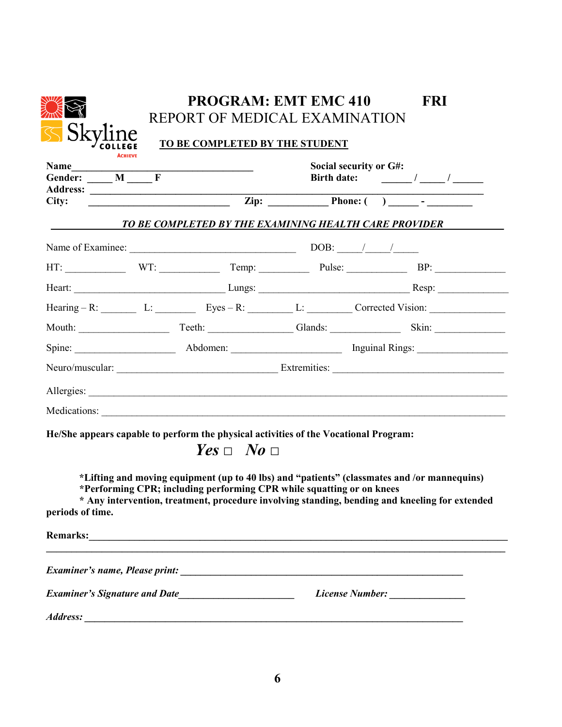|                                                                                      |  | <b>PROGRAM: EMT EMC 410</b><br>REPORT OF MEDICAL EXAMINATION          |                        | <b>FRI</b>                                                                                                                                                                                                                          |  |  |  |
|--------------------------------------------------------------------------------------|--|-----------------------------------------------------------------------|------------------------|-------------------------------------------------------------------------------------------------------------------------------------------------------------------------------------------------------------------------------------|--|--|--|
| <b>Sky</b>                                                                           |  | TO BE COMPLETED BY THE STUDENT                                        |                        |                                                                                                                                                                                                                                     |  |  |  |
| <b>ACHIEVE</b><br>Name<br>Gender: M_R                                                |  |                                                                       | Social security or G#: |                                                                                                                                                                                                                                     |  |  |  |
| City:                                                                                |  |                                                                       |                        | $\overline{Lip}:$ $\overline{Lip}:$ $\overline{Phone}:$ $\overline{Phone}:$ $\overline{hone}:$ $\overline{hone}:$                                                                                                                   |  |  |  |
|                                                                                      |  |                                                                       |                        | TO BE COMPLETED BY THE EXAMINING HEALTH CARE PROVIDER                                                                                                                                                                               |  |  |  |
|                                                                                      |  |                                                                       |                        |                                                                                                                                                                                                                                     |  |  |  |
|                                                                                      |  |                                                                       |                        |                                                                                                                                                                                                                                     |  |  |  |
|                                                                                      |  |                                                                       |                        |                                                                                                                                                                                                                                     |  |  |  |
|                                                                                      |  |                                                                       |                        | Hearing - R: $L:$ L: Eyes - R: $L:$ L: $L:$ Corrected Vision:                                                                                                                                                                       |  |  |  |
|                                                                                      |  |                                                                       |                        |                                                                                                                                                                                                                                     |  |  |  |
|                                                                                      |  |                                                                       |                        |                                                                                                                                                                                                                                     |  |  |  |
|                                                                                      |  |                                                                       |                        |                                                                                                                                                                                                                                     |  |  |  |
|                                                                                      |  |                                                                       |                        |                                                                                                                                                                                                                                     |  |  |  |
|                                                                                      |  |                                                                       |                        |                                                                                                                                                                                                                                     |  |  |  |
| He/She appears capable to perform the physical activities of the Vocational Program: |  | $Yes \Box No \Box$                                                    |                        | *Lifting and moving equipment (up to 40 lbs) and "patients" (classmates and /or mannequins)                                                                                                                                         |  |  |  |
| periods of time.                                                                     |  | *Performing CPR; including performing CPR while squatting or on knees |                        | * Any intervention, treatment, procedure involving standing, bending and kneeling for extended                                                                                                                                      |  |  |  |
|                                                                                      |  |                                                                       |                        | Remarks: <u>Communications</u> Contains a series of the series of the series of the series of the series of the series of the series of the series of the series of the series of the series of the series of the series of the ser |  |  |  |
|                                                                                      |  |                                                                       |                        |                                                                                                                                                                                                                                     |  |  |  |
|                                                                                      |  |                                                                       |                        | License Number: _______________                                                                                                                                                                                                     |  |  |  |
| <b>Address:</b>                                                                      |  |                                                                       |                        |                                                                                                                                                                                                                                     |  |  |  |